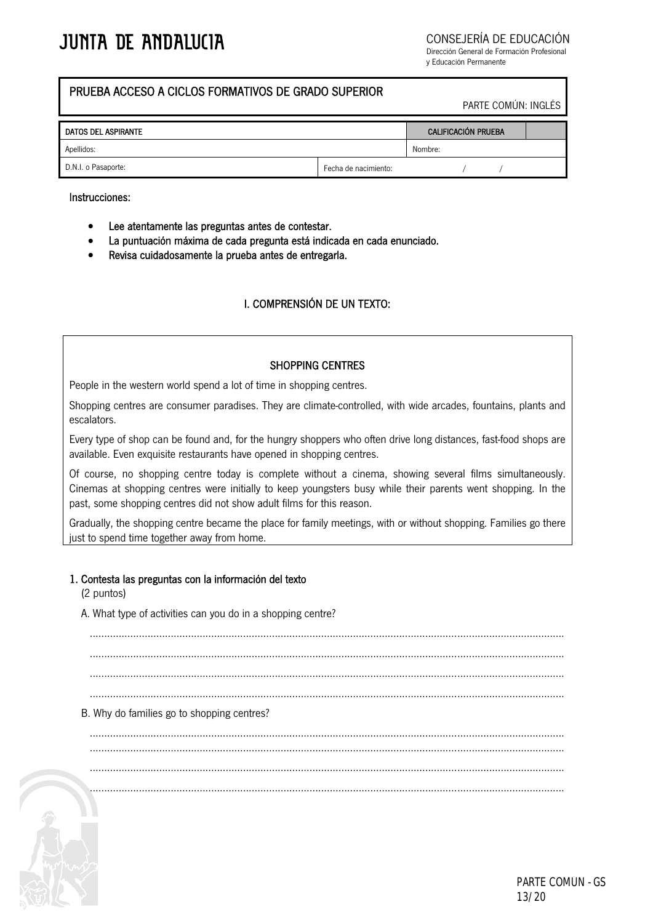## JUNTA DE ANDAIUCIA

CONSEJERÍA DE EDUCACIÓN

Dirección General de Formación Profesional y Educación Permanente

#### PRUEBA ACCESO A CICLOS FORMATIVOS DE GRADO SUPERIOR

PARTE COMÚN: INGLÉS

| DATOS DEL ASPIRANTE |                      | <b>CALIFICACIÓN PRUEBA</b> |  |  |
|---------------------|----------------------|----------------------------|--|--|
| Apellidos:          |                      | Nombre:                    |  |  |
| D.N.I. o Pasaporte: | Fecha de nacimiento: |                            |  |  |

#### Instrucciones:

- Lee atentamente las preguntas antes de contestar.
- La puntuación máxima de cada pregunta está indicada en cada enunciado.
- Revisa cuidadosamente la prueba antes de entregarla.

#### I. COMPRENSIÓN DE UN TEXTO:

#### SHOPPING CENTRES

People in the western world spend a lot of time in shopping centres.

Shopping centres are consumer paradises. They are climate-controlled, with wide arcades, fountains, plants and escalators.

Every type of shop can be found and, for the hungry shoppers who often drive long distances, fast-food shops are available. Even exquisite restaurants have opened in shopping centres.

Of course, no shopping centre today is complete without a cinema, showing several films simultaneously. Cinemas at shopping centres were initially to keep youngsters busy while their parents went shopping. In the past, some shopping centres did not show adult films for this reason.

Gradually, the shopping centre became the place for family meetings, with or without shopping. Families go there just to spend time together away from home.

#### 1. Contesta las preguntas con la información del texto

- (2 puntos)
- A. What type of activities can you do in a shopping centre?

.................................................................................................................................................................... .................................................................................................................................................................... .................................................................................................................................................................... ....................................................................................................................................................................

#### B. Why do families go to shopping centres?

.................................................................................................................................................................... .................................................................................................................................................................... .................................................................................................................................................................... ....................................................................................................................................................................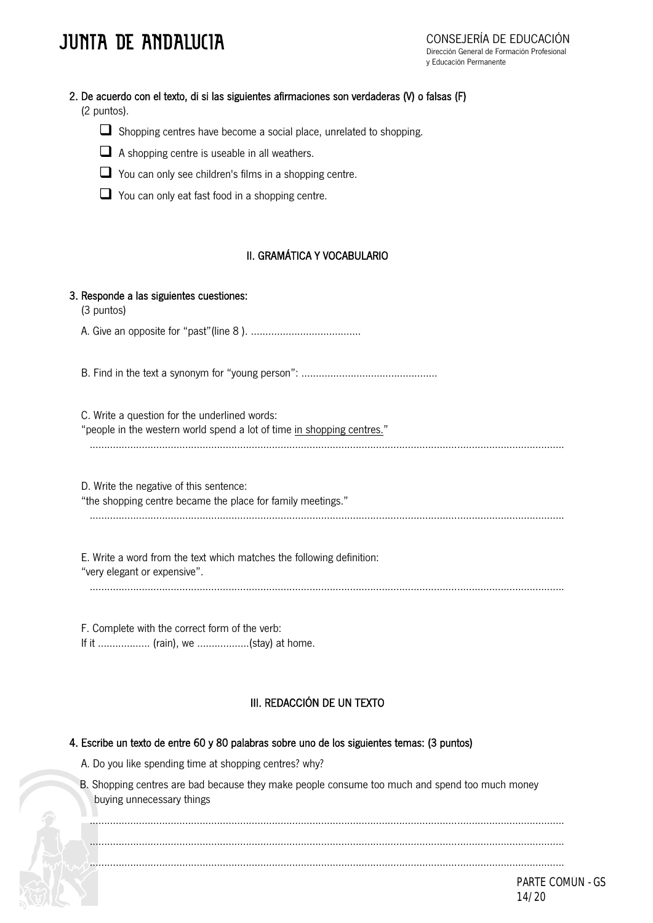### **JUNTA DE ANDALUCIA**

#### 2. De acuerdo con el texto, di si las siguientes afirmaciones son verdaderas (V) o falsas (F)

(2 puntos).





- You can only see children's films in a shopping centre.
- You can only eat fast food in a shopping centre.

### II. GRAMÁTICA Y VOCABULARIO

#### 3. Responde a las siguientes cuestiones:

(3 puntos)

A. Give an opposite for "past"(line 8 ). ......................................

B. Find in the text a synonym for "young person": ...............................................

C. Write a question for the underlined words: "people in the western world spend a lot of time in shopping centres."

....................................................................................................................................................................

D. Write the negative of this sentence: "the shopping centre became the place for family meetings."

....................................................................................................................................................................

E. Write a word from the text which matches the following definition: "very elegant or expensive".

....................................................................................................................................................................

F. Complete with the correct form of the verb: If it .................. (rain), we ..................(stay) at home.

### III. REDACCIÓN DE UN TEXTO

#### 4. Escribe un texto de entre 60 y 80 palabras sobre uno de los siguientes temas: (3 puntos)

A. Do you like spending time at shopping centres? why?

B. Shopping centres are bad because they make people consume too much and spend too much money buying unnecessary things

.................................................................................................................................................................... ....................................................................................................................................................................

....................................................................................................................................................................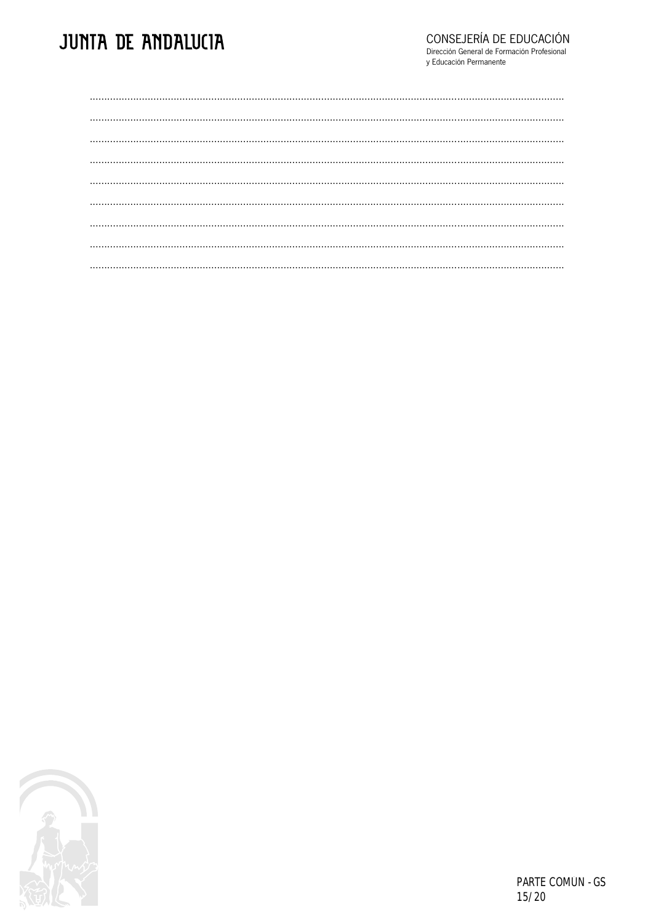# JUNTA DE ANDALUCIA



PARTE COMÚN - GS  $15/20$